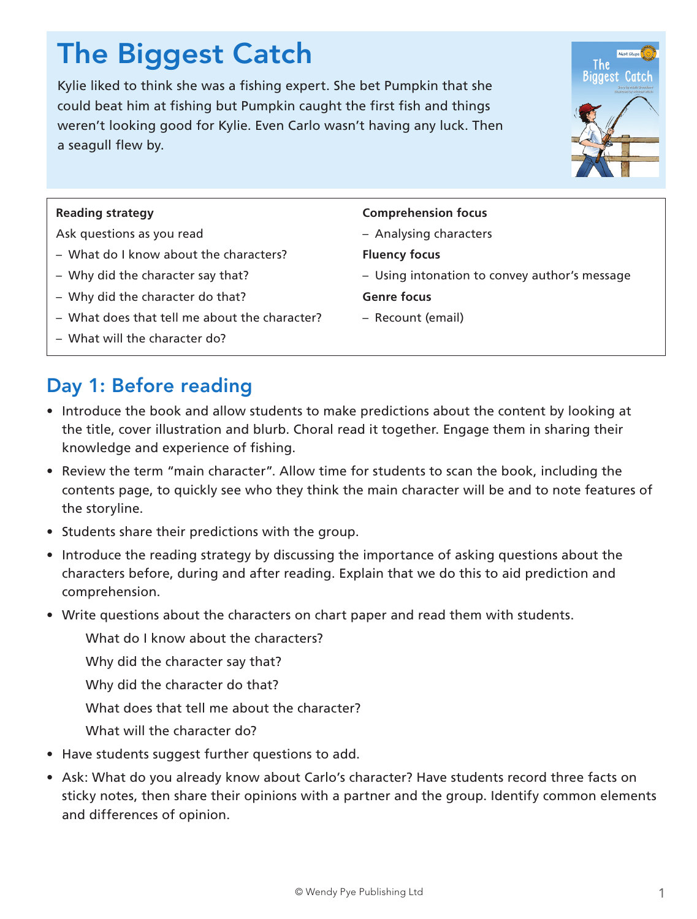# The Biggest Catch

Kylie liked to think she was a fishing expert. She bet Pumpkin that she could beat him at fishing but Pumpkin caught the first fish and things weren't looking good for Kylie. Even Carlo wasn't having any luck. Then a seagull flew by.



#### **Reading strategy**

Ask questions as you read

- What do I know about the characters?
- Why did the character say that?
- Why did the character do that?
- What does that tell me about the character?
- What will the character do?

### Day 1: Before reading

- Introduce the book and allow students to make predictions about the content by looking at the title, cover illustration and blurb. Choral read it together. Engage them in sharing their knowledge and experience of fishing.
- Review the term "main character". Allow time for students to scan the book, including the contents page, to quickly see who they think the main character will be and to note features of the storyline.
- Students share their predictions with the group.
- Introduce the reading strategy by discussing the importance of asking questions about the characters before, during and after reading. Explain that we do this to aid prediction and comprehension.
- Write questions about the characters on chart paper and read them with students.
	- What do I know about the characters?
	- Why did the character say that?
	- Why did the character do that?
	- What does that tell me about the character?
	- What will the character do?
- Have students suggest further questions to add.
- Ask: What do you already know about Carlo's character? Have students record three facts on sticky notes, then share their opinions with a partner and the group. Identify common elements and differences of opinion.

#### **Comprehension focus**

- Analysing characters
- **Fluency focus**
- Using intonation to convey author's message
- **Genre focus**
- Recount (email)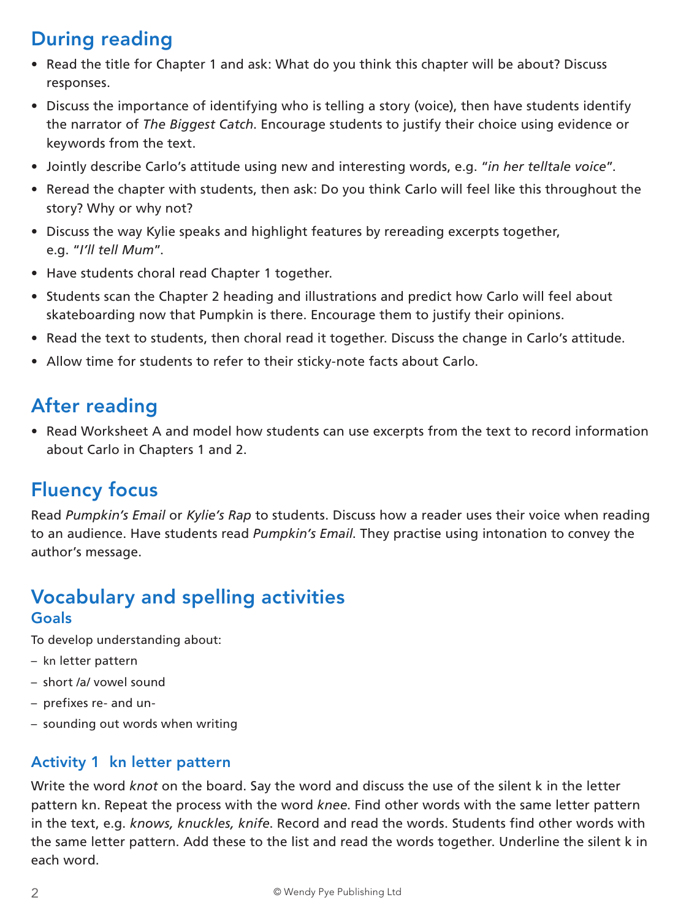# During reading

- Read the title for Chapter 1 and ask: What do you think this chapter will be about? Discuss responses.
- Discuss the importance of identifying who is telling a story (voice), then have students identify the narrator of *The Biggest Catch*. Encourage students to justify their choice using evidence or keywords from the text.
- Jointly describe Carlo's attitude using new and interesting words, e.g. "*in her telltale voice*".
- Reread the chapter with students, then ask: Do you think Carlo will feel like this throughout the story? Why or why not?
- Discuss the way Kylie speaks and highlight features by rereading excerpts together, e.g. "*I'll tell Mum*".
- Have students choral read Chapter 1 together.
- Students scan the Chapter 2 heading and illustrations and predict how Carlo will feel about skateboarding now that Pumpkin is there. Encourage them to justify their opinions.
- Read the text to students, then choral read it together. Discuss the change in Carlo's attitude.
- Allow time for students to refer to their sticky-note facts about Carlo.

## After reading

• Read Worksheet A and model how students can use excerpts from the text to record information about Carlo in Chapters 1 and 2.

### Fluency focus

Read *Pumpkin's Email* or *Kylie's Rap* to students. Discuss how a reader uses their voice when reading to an audience. Have students read *Pumpkin's Email*. They practise using intonation to convey the author's message.

### Vocabulary and spelling activities Goals

To develop understanding about:

- kn letter pattern
- short /a/ vowel sound
- prefixes re- and un-
- sounding out words when writing

#### Activity 1 kn letter pattern

Write the word *knot* on the board. Say the word and discuss the use of the silent k in the letter pattern kn. Repeat the process with the word *knee*. Find other words with the same letter pattern in the text, e.g. *knows, knuckles, knife*. Record and read the words. Students find other words with the same letter pattern. Add these to the list and read the words together. Underline the silent k in each word.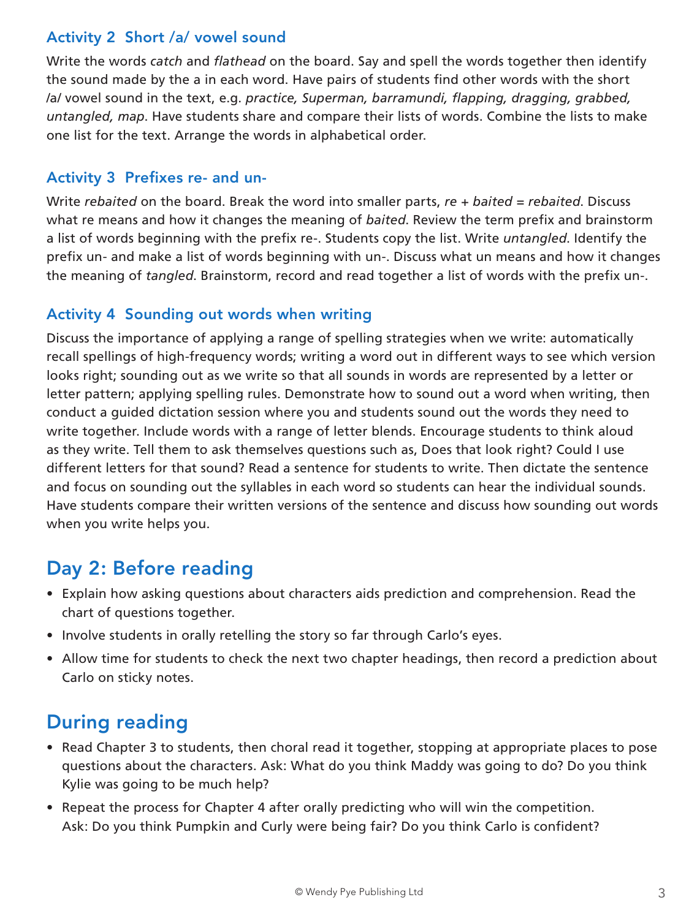### Activity 2 Short /a/ vowel sound

Write the words *catch* and *flathead* on the board. Say and spell the words together then identify the sound made by the a in each word. Have pairs of students find other words with the short /a/ vowel sound in the text, e.g. *practice, Superman, barramundi, flapping, dragging, grabbed, untangled, map*. Have students share and compare their lists of words. Combine the lists to make one list for the text. Arrange the words in alphabetical order.

### Activity 3 Prefixes re- and un-

Write *rebaited* on the board. Break the word into smaller parts, *re + baited = rebaited*. Discuss what re means and how it changes the meaning of *baited*. Review the term prefix and brainstorm a list of words beginning with the prefix re-. Students copy the list. Write *untangled*. Identify the prefix un- and make a list of words beginning with un-. Discuss what un means and how it changes the meaning of *tangled*. Brainstorm, record and read together a list of words with the prefix un-.

### Activity 4 Sounding out words when writing

Discuss the importance of applying a range of spelling strategies when we write: automatically recall spellings of high-frequency words; writing a word out in different ways to see which version looks right; sounding out as we write so that all sounds in words are represented by a letter or letter pattern; applying spelling rules. Demonstrate how to sound out a word when writing, then conduct a guided dictation session where you and students sound out the words they need to write together. Include words with a range of letter blends. Encourage students to think aloud as they write. Tell them to ask themselves questions such as, Does that look right? Could I use different letters for that sound? Read a sentence for students to write. Then dictate the sentence and focus on sounding out the syllables in each word so students can hear the individual sounds. Have students compare their written versions of the sentence and discuss how sounding out words when you write helps you.

## Day 2: Before reading

- Explain how asking questions about characters aids prediction and comprehension. Read the chart of questions together.
- Involve students in orally retelling the story so far through Carlo's eyes.
- Allow time for students to check the next two chapter headings, then record a prediction about Carlo on sticky notes.

## During reading

- Read Chapter 3 to students, then choral read it together, stopping at appropriate places to pose questions about the characters. Ask: What do you think Maddy was going to do? Do you think Kylie was going to be much help?
- Repeat the process for Chapter 4 after orally predicting who will win the competition. Ask: Do you think Pumpkin and Curly were being fair? Do you think Carlo is confident?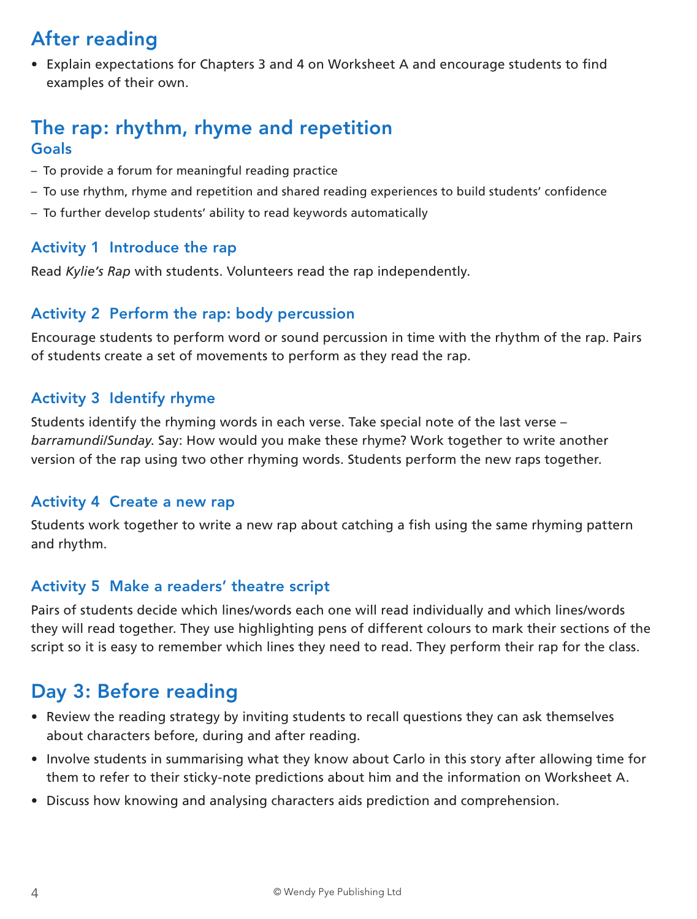# After reading

• Explain expectations for Chapters 3 and 4 on Worksheet A and encourage students to find examples of their own.

### The rap: rhythm, rhyme and repetition Goals

- To provide a forum for meaningful reading practice
- To use rhythm, rhyme and repetition and shared reading experiences to build students' confidence
- To further develop students' ability to read keywords automatically

#### Activity 1 Introduce the rap

Read *Kylie's Rap* with students. Volunteers read the rap independently.

#### Activity 2 Perform the rap: body percussion

Encourage students to perform word or sound percussion in time with the rhythm of the rap. Pairs of students create a set of movements to perform as they read the rap.

### Activity 3 Identify rhyme

Students identify the rhyming words in each verse. Take special note of the last verse – *barramundi/Sunday*. Say: How would you make these rhyme? Work together to write another version of the rap using two other rhyming words. Students perform the new raps together.

#### Activity 4 Create a new rap

Students work together to write a new rap about catching a fish using the same rhyming pattern and rhythm.

#### Activity 5 Make a readers' theatre script

Pairs of students decide which lines/words each one will read individually and which lines/words they will read together. They use highlighting pens of different colours to mark their sections of the script so it is easy to remember which lines they need to read. They perform their rap for the class.

### Day 3: Before reading

- Review the reading strategy by inviting students to recall questions they can ask themselves about characters before, during and after reading.
- Involve students in summarising what they know about Carlo in this story after allowing time for them to refer to their sticky-note predictions about him and the information on Worksheet A.
- Discuss how knowing and analysing characters aids prediction and comprehension.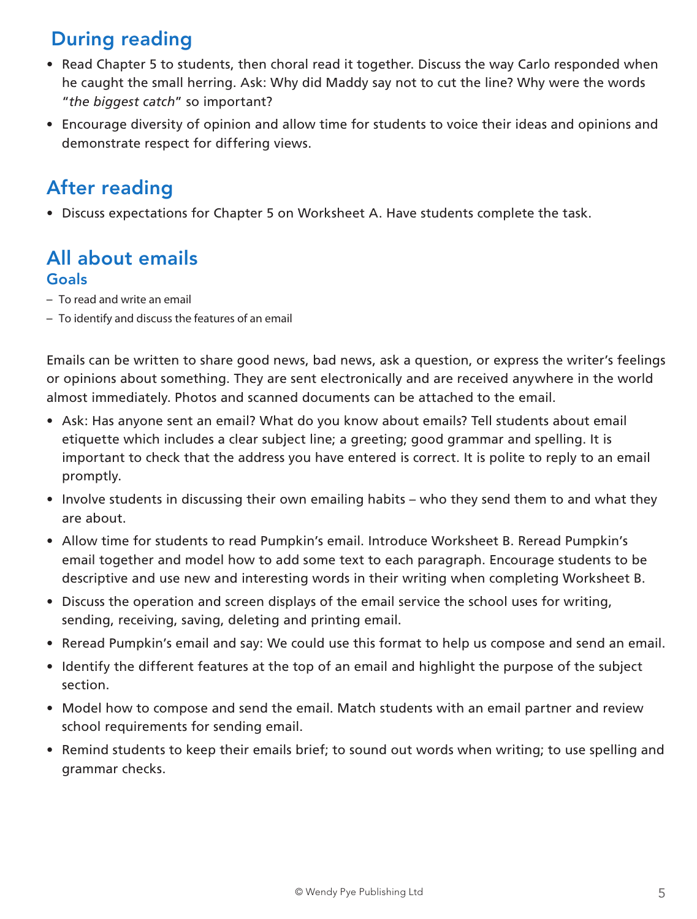# During reading

- Read Chapter 5 to students, then choral read it together. Discuss the way Carlo responded when he caught the small herring. Ask: Why did Maddy say not to cut the line? Why were the words "*the biggest catch*" so important?
- Encourage diversity of opinion and allow time for students to voice their ideas and opinions and demonstrate respect for differing views.

# After reading

• Discuss expectations for Chapter 5 on Worksheet A. Have students complete the task.

### All about emails Goals

- To read and write an email
- To identify and discuss the features of an email

Emails can be written to share good news, bad news, ask a question, or express the writer's feelings or opinions about something. They are sent electronically and are received anywhere in the world almost immediately. Photos and scanned documents can be attached to the email.

- Ask: Has anyone sent an email? What do you know about emails? Tell students about email etiquette which includes a clear subject line; a greeting; good grammar and spelling. It is important to check that the address you have entered is correct. It is polite to reply to an email promptly.
- Involve students in discussing their own emailing habits who they send them to and what they are about.
- Allow time for students to read Pumpkin's email. Introduce Worksheet B. Reread Pumpkin's email together and model how to add some text to each paragraph. Encourage students to be descriptive and use new and interesting words in their writing when completing Worksheet B.
- Discuss the operation and screen displays of the email service the school uses for writing, sending, receiving, saving, deleting and printing email.
- Reread Pumpkin's email and say: We could use this format to help us compose and send an email.
- Identify the different features at the top of an email and highlight the purpose of the subject section.
- Model how to compose and send the email. Match students with an email partner and review school requirements for sending email.
- Remind students to keep their emails brief; to sound out words when writing; to use spelling and grammar checks.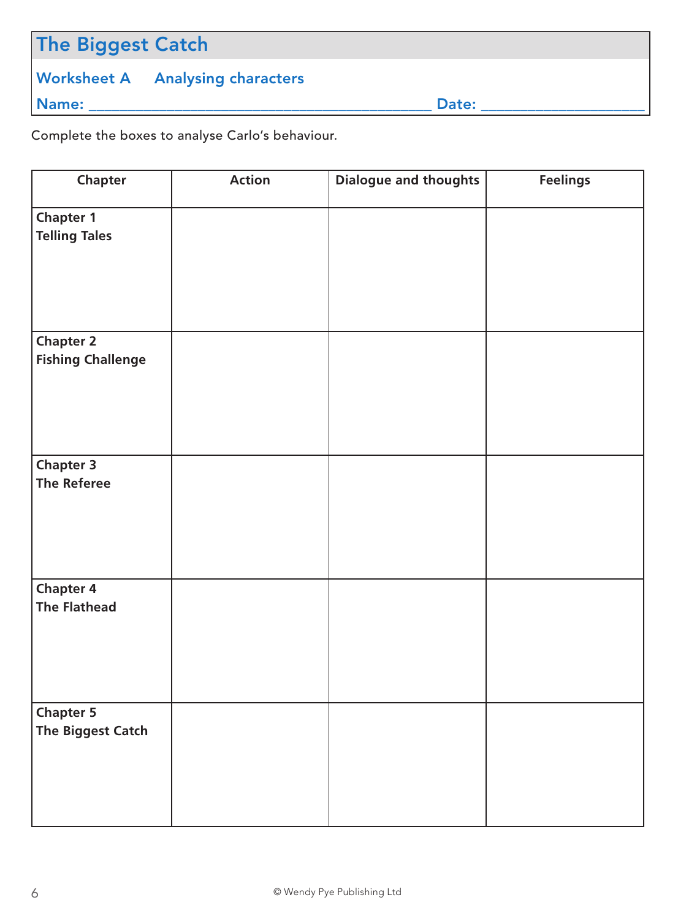# The Biggest Catch

### Worksheet A Analysing characters

Name: \_\_\_\_\_\_\_\_\_\_\_\_\_\_\_\_\_\_\_\_\_\_\_\_\_\_\_\_\_\_\_\_\_\_\_\_\_\_\_\_\_\_\_\_ Date: \_\_\_\_\_\_\_\_\_\_\_\_\_\_\_\_\_\_\_\_\_

Complete the boxes to analyse Carlo's behaviour.

| Chapter                  | <b>Action</b> | <b>Dialogue and thoughts</b> | <b>Feelings</b> |
|--------------------------|---------------|------------------------------|-----------------|
| <b>Chapter 1</b>         |               |                              |                 |
| <b>Telling Tales</b>     |               |                              |                 |
|                          |               |                              |                 |
|                          |               |                              |                 |
|                          |               |                              |                 |
|                          |               |                              |                 |
| Chapter 2                |               |                              |                 |
| <b>Fishing Challenge</b> |               |                              |                 |
|                          |               |                              |                 |
|                          |               |                              |                 |
|                          |               |                              |                 |
|                          |               |                              |                 |
| <b>Chapter 3</b>         |               |                              |                 |
| <b>The Referee</b>       |               |                              |                 |
|                          |               |                              |                 |
|                          |               |                              |                 |
|                          |               |                              |                 |
|                          |               |                              |                 |
| <b>Chapter 4</b>         |               |                              |                 |
| <b>The Flathead</b>      |               |                              |                 |
|                          |               |                              |                 |
|                          |               |                              |                 |
|                          |               |                              |                 |
|                          |               |                              |                 |
| <b>Chapter 5</b>         |               |                              |                 |
| The Biggest Catch        |               |                              |                 |
|                          |               |                              |                 |
|                          |               |                              |                 |
|                          |               |                              |                 |
|                          |               |                              |                 |